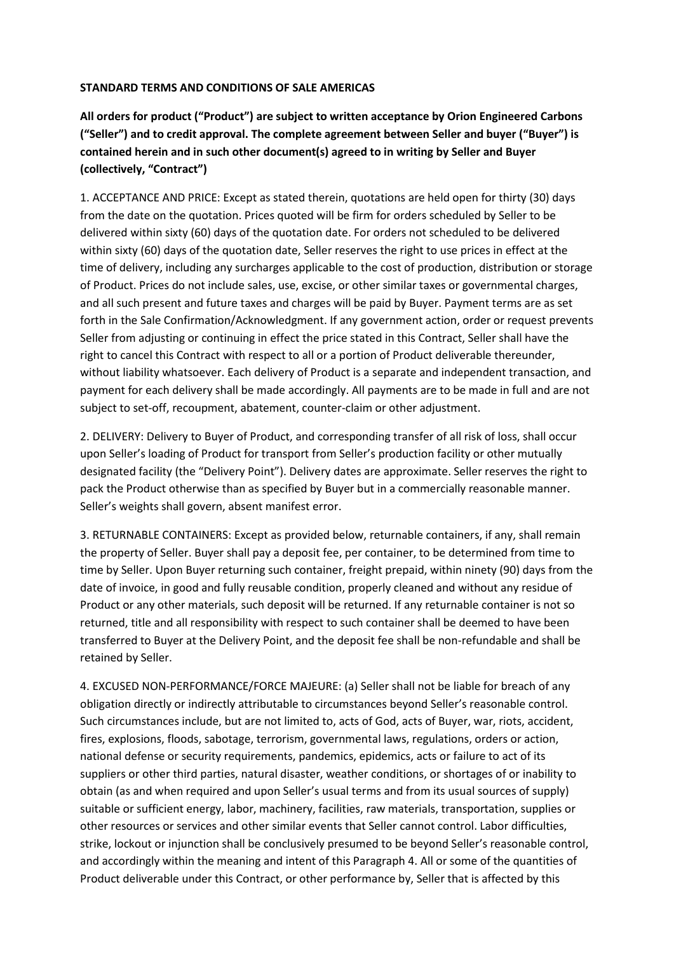## **STANDARD TERMS AND CONDITIONS OF SALE AMERICAS**

**All orders for product ("Product") are subject to written acceptance by Orion Engineered Carbons ("Seller") and to credit approval. The complete agreement between Seller and buyer ("Buyer") is contained herein and in such other document(s) agreed to in writing by Seller and Buyer (collectively, "Contract")**

1. ACCEPTANCE AND PRICE: Except as stated therein, quotations are held open for thirty (30) days from the date on the quotation. Prices quoted will be firm for orders scheduled by Seller to be delivered within sixty (60) days of the quotation date. For orders not scheduled to be delivered within sixty (60) days of the quotation date, Seller reserves the right to use prices in effect at the time of delivery, including any surcharges applicable to the cost of production, distribution or storage of Product. Prices do not include sales, use, excise, or other similar taxes or governmental charges, and all such present and future taxes and charges will be paid by Buyer. Payment terms are as set forth in the Sale Confirmation/Acknowledgment. If any government action, order or request prevents Seller from adjusting or continuing in effect the price stated in this Contract, Seller shall have the right to cancel this Contract with respect to all or a portion of Product deliverable thereunder, without liability whatsoever. Each delivery of Product is a separate and independent transaction, and payment for each delivery shall be made accordingly. All payments are to be made in full and are not subject to set-off, recoupment, abatement, counter-claim or other adjustment.

2. DELIVERY: Delivery to Buyer of Product, and corresponding transfer of all risk of loss, shall occur upon Seller's loading of Product for transport from Seller's production facility or other mutually designated facility (the "Delivery Point"). Delivery dates are approximate. Seller reserves the right to pack the Product otherwise than as specified by Buyer but in a commercially reasonable manner. Seller's weights shall govern, absent manifest error.

3. RETURNABLE CONTAINERS: Except as provided below, returnable containers, if any, shall remain the property of Seller. Buyer shall pay a deposit fee, per container, to be determined from time to time by Seller. Upon Buyer returning such container, freight prepaid, within ninety (90) days from the date of invoice, in good and fully reusable condition, properly cleaned and without any residue of Product or any other materials, such deposit will be returned. If any returnable container is not so returned, title and all responsibility with respect to such container shall be deemed to have been transferred to Buyer at the Delivery Point, and the deposit fee shall be non-refundable and shall be retained by Seller.

4. EXCUSED NON-PERFORMANCE/FORCE MAJEURE: (a) Seller shall not be liable for breach of any obligation directly or indirectly attributable to circumstances beyond Seller's reasonable control. Such circumstances include, but are not limited to, acts of God, acts of Buyer, war, riots, accident, fires, explosions, floods, sabotage, terrorism, governmental laws, regulations, orders or action, national defense or security requirements, pandemics, epidemics, acts or failure to act of its suppliers or other third parties, natural disaster, weather conditions, or shortages of or inability to obtain (as and when required and upon Seller's usual terms and from its usual sources of supply) suitable or sufficient energy, labor, machinery, facilities, raw materials, transportation, supplies or other resources or services and other similar events that Seller cannot control. Labor difficulties, strike, lockout or injunction shall be conclusively presumed to be beyond Seller's reasonable control, and accordingly within the meaning and intent of this Paragraph 4. All or some of the quantities of Product deliverable under this Contract, or other performance by, Seller that is affected by this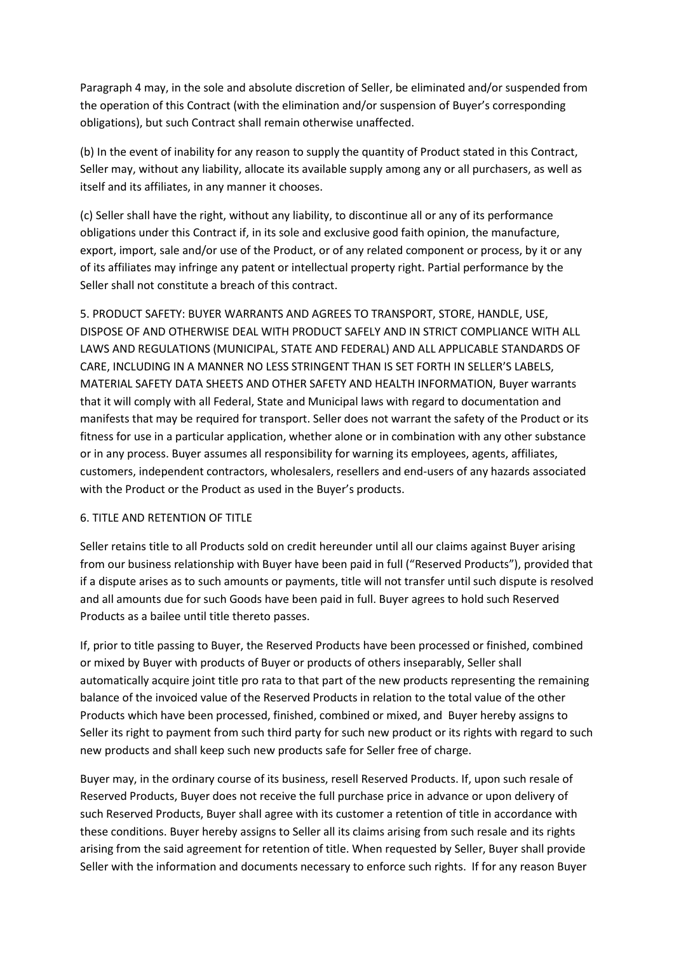Paragraph 4 may, in the sole and absolute discretion of Seller, be eliminated and/or suspended from the operation of this Contract (with the elimination and/or suspension of Buyer's corresponding obligations), but such Contract shall remain otherwise unaffected.

(b) In the event of inability for any reason to supply the quantity of Product stated in this Contract, Seller may, without any liability, allocate its available supply among any or all purchasers, as well as itself and its affiliates, in any manner it chooses.

(c) Seller shall have the right, without any liability, to discontinue all or any of its performance obligations under this Contract if, in its sole and exclusive good faith opinion, the manufacture, export, import, sale and/or use of the Product, or of any related component or process, by it or any of its affiliates may infringe any patent or intellectual property right. Partial performance by the Seller shall not constitute a breach of this contract.

5. PRODUCT SAFETY: BUYER WARRANTS AND AGREES TO TRANSPORT, STORE, HANDLE, USE, DISPOSE OF AND OTHERWISE DEAL WITH PRODUCT SAFELY AND IN STRICT COMPLIANCE WITH ALL LAWS AND REGULATIONS (MUNICIPAL, STATE AND FEDERAL) AND ALL APPLICABLE STANDARDS OF CARE, INCLUDING IN A MANNER NO LESS STRINGENT THAN IS SET FORTH IN SELLER'S LABELS, MATERIAL SAFETY DATA SHEETS AND OTHER SAFETY AND HEALTH INFORMATION, Buyer warrants that it will comply with all Federal, State and Municipal laws with regard to documentation and manifests that may be required for transport. Seller does not warrant the safety of the Product or its fitness for use in a particular application, whether alone or in combination with any other substance or in any process. Buyer assumes all responsibility for warning its employees, agents, affiliates, customers, independent contractors, wholesalers, resellers and end-users of any hazards associated with the Product or the Product as used in the Buyer's products.

## 6. TITLE AND RETENTION OF TITLE

Seller retains title to all Products sold on credit hereunder until all our claims against Buyer arising from our business relationship with Buyer have been paid in full ("Reserved Products"), provided that if a dispute arises as to such amounts or payments, title will not transfer until such dispute is resolved and all amounts due for such Goods have been paid in full. Buyer agrees to hold such Reserved Products as a bailee until title thereto passes.

If, prior to title passing to Buyer, the Reserved Products have been processed or finished, combined or mixed by Buyer with products of Buyer or products of others inseparably, Seller shall automatically acquire joint title pro rata to that part of the new products representing the remaining balance of the invoiced value of the Reserved Products in relation to the total value of the other Products which have been processed, finished, combined or mixed, and Buyer hereby assigns to Seller its right to payment from such third party for such new product or its rights with regard to such new products and shall keep such new products safe for Seller free of charge.

Buyer may, in the ordinary course of its business, resell Reserved Products. If, upon such resale of Reserved Products, Buyer does not receive the full purchase price in advance or upon delivery of such Reserved Products, Buyer shall agree with its customer a retention of title in accordance with these conditions. Buyer hereby assigns to Seller all its claims arising from such resale and its rights arising from the said agreement for retention of title. When requested by Seller, Buyer shall provide Seller with the information and documents necessary to enforce such rights. If for any reason Buyer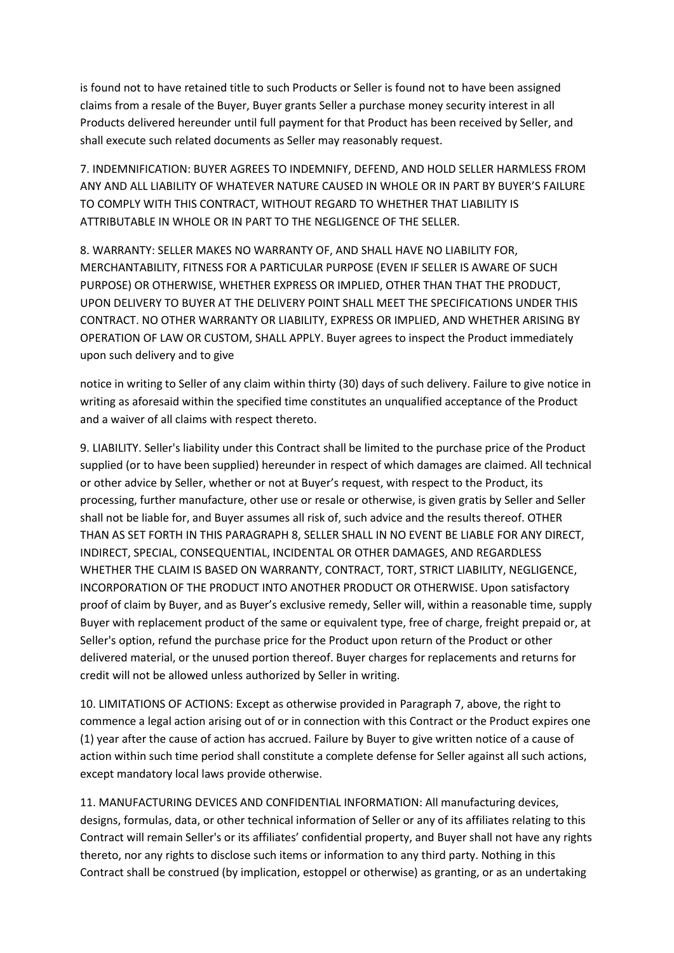is found not to have retained title to such Products or Seller is found not to have been assigned claims from a resale of the Buyer, Buyer grants Seller a purchase money security interest in all Products delivered hereunder until full payment for that Product has been received by Seller, and shall execute such related documents as Seller may reasonably request.

7. INDEMNIFICATION: BUYER AGREES TO INDEMNIFY, DEFEND, AND HOLD SELLER HARMLESS FROM ANY AND ALL LIABILITY OF WHATEVER NATURE CAUSED IN WHOLE OR IN PART BY BUYER'S FAILURE TO COMPLY WITH THIS CONTRACT, WITHOUT REGARD TO WHETHER THAT LIABILITY IS ATTRIBUTABLE IN WHOLE OR IN PART TO THE NEGLIGENCE OF THE SELLER.

8. WARRANTY: SELLER MAKES NO WARRANTY OF, AND SHALL HAVE NO LIABILITY FOR, MERCHANTABILITY, FITNESS FOR A PARTICULAR PURPOSE (EVEN IF SELLER IS AWARE OF SUCH PURPOSE) OR OTHERWISE, WHETHER EXPRESS OR IMPLIED, OTHER THAN THAT THE PRODUCT, UPON DELIVERY TO BUYER AT THE DELIVERY POINT SHALL MEET THE SPECIFICATIONS UNDER THIS CONTRACT. NO OTHER WARRANTY OR LIABILITY, EXPRESS OR IMPLIED, AND WHETHER ARISING BY OPERATION OF LAW OR CUSTOM, SHALL APPLY. Buyer agrees to inspect the Product immediately upon such delivery and to give

notice in writing to Seller of any claim within thirty (30) days of such delivery. Failure to give notice in writing as aforesaid within the specified time constitutes an unqualified acceptance of the Product and a waiver of all claims with respect thereto.

9. LIABILITY. Seller's liability under this Contract shall be limited to the purchase price of the Product supplied (or to have been supplied) hereunder in respect of which damages are claimed. All technical or other advice by Seller, whether or not at Buyer's request, with respect to the Product, its processing, further manufacture, other use or resale or otherwise, is given gratis by Seller and Seller shall not be liable for, and Buyer assumes all risk of, such advice and the results thereof. OTHER THAN AS SET FORTH IN THIS PARAGRAPH 8, SELLER SHALL IN NO EVENT BE LIABLE FOR ANY DIRECT, INDIRECT, SPECIAL, CONSEQUENTIAL, INCIDENTAL OR OTHER DAMAGES, AND REGARDLESS WHETHER THE CLAIM IS BASED ON WARRANTY, CONTRACT, TORT, STRICT LIABILITY, NEGLIGENCE, INCORPORATION OF THE PRODUCT INTO ANOTHER PRODUCT OR OTHERWISE. Upon satisfactory proof of claim by Buyer, and as Buyer's exclusive remedy, Seller will, within a reasonable time, supply Buyer with replacement product of the same or equivalent type, free of charge, freight prepaid or, at Seller's option, refund the purchase price for the Product upon return of the Product or other delivered material, or the unused portion thereof. Buyer charges for replacements and returns for credit will not be allowed unless authorized by Seller in writing.

10. LIMITATIONS OF ACTIONS: Except as otherwise provided in Paragraph 7, above, the right to commence a legal action arising out of or in connection with this Contract or the Product expires one (1) year after the cause of action has accrued. Failure by Buyer to give written notice of a cause of action within such time period shall constitute a complete defense for Seller against all such actions, except mandatory local laws provide otherwise.

11. MANUFACTURING DEVICES AND CONFIDENTIAL INFORMATION: All manufacturing devices, designs, formulas, data, or other technical information of Seller or any of its affiliates relating to this Contract will remain Seller's or its affiliates' confidential property, and Buyer shall not have any rights thereto, nor any rights to disclose such items or information to any third party. Nothing in this Contract shall be construed (by implication, estoppel or otherwise) as granting, or as an undertaking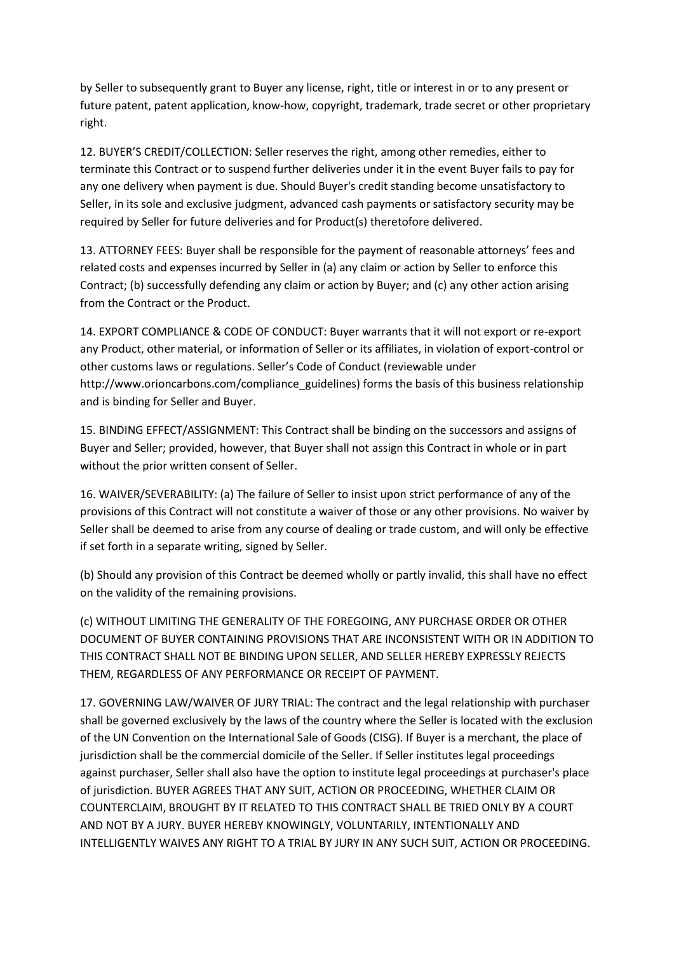by Seller to subsequently grant to Buyer any license, right, title or interest in or to any present or future patent, patent application, know-how, copyright, trademark, trade secret or other proprietary right.

12. BUYER'S CREDIT/COLLECTION: Seller reserves the right, among other remedies, either to terminate this Contract or to suspend further deliveries under it in the event Buyer fails to pay for any one delivery when payment is due. Should Buyer's credit standing become unsatisfactory to Seller, in its sole and exclusive judgment, advanced cash payments or satisfactory security may be required by Seller for future deliveries and for Product(s) theretofore delivered.

13. ATTORNEY FEES: Buyer shall be responsible for the payment of reasonable attorneys' fees and related costs and expenses incurred by Seller in (a) any claim or action by Seller to enforce this Contract; (b) successfully defending any claim or action by Buyer; and (c) any other action arising from the Contract or the Product.

14. EXPORT COMPLIANCE & CODE OF CONDUCT: Buyer warrants that it will not export or re-export any Product, other material, or information of Seller or its affiliates, in violation of export-control or other customs laws or regulations. Seller's Code of Conduct (reviewable under http://www.orioncarbons.com/compliance\_guidelines) forms the basis of this business relationship and is binding for Seller and Buyer.

15. BINDING EFFECT/ASSIGNMENT: This Contract shall be binding on the successors and assigns of Buyer and Seller; provided, however, that Buyer shall not assign this Contract in whole or in part without the prior written consent of Seller.

16. WAIVER/SEVERABILITY: (a) The failure of Seller to insist upon strict performance of any of the provisions of this Contract will not constitute a waiver of those or any other provisions. No waiver by Seller shall be deemed to arise from any course of dealing or trade custom, and will only be effective if set forth in a separate writing, signed by Seller.

(b) Should any provision of this Contract be deemed wholly or partly invalid, this shall have no effect on the validity of the remaining provisions.

(c) WITHOUT LIMITING THE GENERALITY OF THE FOREGOING, ANY PURCHASE ORDER OR OTHER DOCUMENT OF BUYER CONTAINING PROVISIONS THAT ARE INCONSISTENT WITH OR IN ADDITION TO THIS CONTRACT SHALL NOT BE BINDING UPON SELLER, AND SELLER HEREBY EXPRESSLY REJECTS THEM, REGARDLESS OF ANY PERFORMANCE OR RECEIPT OF PAYMENT.

17. GOVERNING LAW/WAIVER OF JURY TRIAL: The contract and the legal relationship with purchaser shall be governed exclusively by the laws of the country where the Seller is located with the exclusion of the UN Convention on the International Sale of Goods (CISG). If Buyer is a merchant, the place of jurisdiction shall be the commercial domicile of the Seller. If Seller institutes legal proceedings against purchaser, Seller shall also have the option to institute legal proceedings at purchaser's place of jurisdiction. BUYER AGREES THAT ANY SUIT, ACTION OR PROCEEDING, WHETHER CLAIM OR COUNTERCLAIM, BROUGHT BY IT RELATED TO THIS CONTRACT SHALL BE TRIED ONLY BY A COURT AND NOT BY A JURY. BUYER HEREBY KNOWINGLY, VOLUNTARILY, INTENTIONALLY AND INTELLIGENTLY WAIVES ANY RIGHT TO A TRIAL BY JURY IN ANY SUCH SUIT, ACTION OR PROCEEDING.